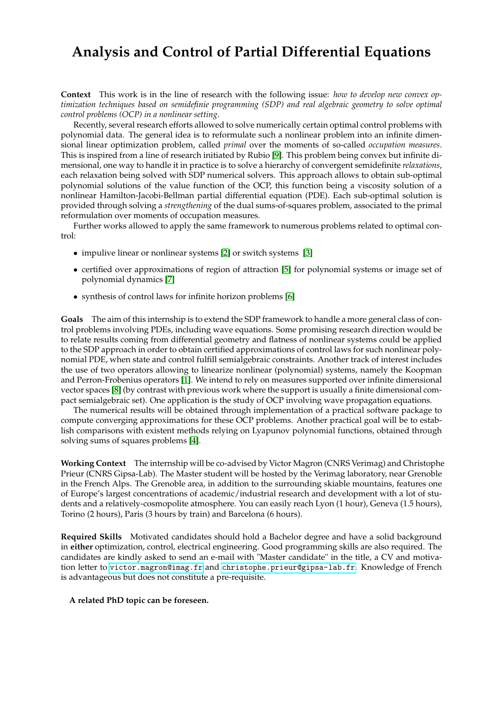## **Analysis and Control of Partial Differential Equations**

**Context** This work is in the line of research with the following issue: *how to develop new convex optimization techniques based on semidefinie programming (SDP) and real algebraic geometry to solve optimal control problems (OCP) in a nonlinear setting*.

Recently, several research efforts allowed to solve numerically certain optimal control problems with polynomial data. The general idea is to reformulate such a nonlinear problem into an infinite dimensional linear optimization problem, called *primal* over the moments of so-called *occupation measures*. This is inspired from a line of research initiated by Rubio [\[9\]](#page-1-0). This problem being convex but infinite dimensional, one way to handle it in practice is to solve a hierarchy of convergent semidefinite *relaxations*, each relaxation being solved with SDP numerical solvers. This approach allows to obtain sub-optimal polynomial solutions of the value function of the OCP, this function being a viscosity solution of a nonlinear Hamilton-Jacobi-Bellman partial differential equation (PDE). Each sub-optimal solution is provided through solving a *strengthening* of the dual sums-of-squares problem, associated to the primal reformulation over moments of occupation measures.

Further works allowed to apply the same framework to numerous problems related to optimal control:

- impulive linear or nonlinear systems [\[2\]](#page-1-1) or switch systems [\[3\]](#page-1-2)
- certified over approximations of region of attraction [\[5\]](#page-1-3) for polynomial systems or image set of polynomial dynamics [\[7\]](#page-1-4)
- synthesis of control laws for infinite horizon problems [\[6\]](#page-1-5)

**Goals** The aim of this internship is to extend the SDP framework to handle a more general class of control problems involving PDEs, including wave equations. Some promising research direction would be to relate results coming from differential geometry and flatness of nonlinear systems could be applied to the SDP approach in order to obtain certified approximations of control laws for such nonlinear polynomial PDE, when state and control fulfill semialgebraic constraints. Another track of interest includes the use of two operators allowing to linearize nonlinear (polynomial) systems, namely the Koopman and Perron-Frobenius operators [\[1\]](#page-1-6). We intend to rely on measures supported over infinite dimensional vector spaces [\[8\]](#page-1-7) (by contrast with previous work where the support is usually a finite dimensional compact semialgebraic set). One application is the study of OCP involving wave propagation equations.

The numerical results will be obtained through implementation of a practical software package to compute converging approximations for these OCP problems. Another practical goal will be to establish comparisons with existent methods relying on Lyapunov polynomial functions, obtained through solving sums of squares problems [\[4\]](#page-1-8).

**Working Context** The internship will be co-advised by Victor Magron (CNRS Verimag) and Christophe Prieur (CNRS Gipsa-Lab). The Master student will be hosted by the Verimag laboratory, near Grenoble in the French Alps. The Grenoble area, in addition to the surrounding skiable mountains, features one of Europe's largest concentrations of academic/industrial research and development with a lot of students and a relatively-cosmopolite atmosphere. You can easily reach Lyon (1 hour), Geneva (1.5 hours), Torino (2 hours), Paris (3 hours by train) and Barcelona (6 hours).

**Required Skills** Motivated candidates should hold a Bachelor degree and have a solid background in **either** optimization, control, electrical engineering. Good programming skills are also required. The candidates are kindly asked to send an e-mail with "Master candidate" in the title, a CV and motivation letter to <victor.magron@imag.fr> and <christophe.prieur@gipsa-lab.fr>. Knowledge of French is advantageous but does not constitute a pre-requisite.

## **A related PhD topic can be foreseen.**